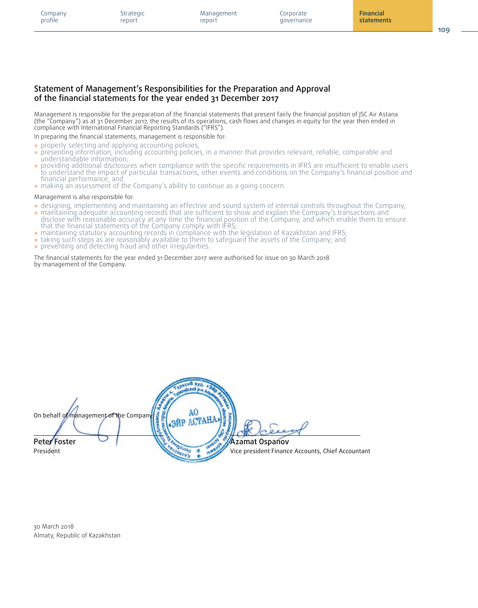[Management](#page--1-0) report

Corporate [governance](#page--1-0)

# Statement of Management's Responsibilities for the Preparation and Approval of the financial statements for the year ended 31 December 2017

Management is responsible for the preparation of the financial statements that present fairly the financial position of JSC Air Astana (the "Company") as at 31 December 2017, the results of its operations, cash flows and changes in equity for the year then ended in compliance with International Financial Reporting Standards ("IFRS").

In preparing the financial statements, management is responsible for:

- » properly selecting and applying accounting policies;
- » presenting information, including accounting policies, in a manner that provides relevant, reliable, comparable and understandable information;
- » providing additional disclosures when compliance with the specific requirements in IFRS are insufficient to enable users to understand the impact of particular transactions, other events and conditions on the Company's financial position and financial performance; and
- » making an assessment of the Company's ability to continue as a going concern.

#### Management is also responsible for:

- » designing, implementing and maintaining an effective and sound system of internal controls throughout the Company;
- » maintaining adequate accounting records that are sufficient to show and explain the Company's transactions and disclose with reasonable accuracy at any time the financial position of the Company, and which enable them to ensure that the financial statements of the Company comply with IFRS;
- » maintaining statutory accounting records in compliance with the legislation of Kazakhstan and IFRS;
- » taking such steps as are reasonably available to them to safeguard the assets of the Company; and
- » preventing and detecting fraud and other irregularities.

The financial statements for the year ended 31 December 2017 were authorised for issue on 30 March 2018 by management of the Company.

сиб вуд. A<sub>0</sub> On behalf of management of the Company ЭЙР АСТАН Peter Foster Azamat Ospanov Vice president Finance Accounts, Chief Accountant President

30 March 2018 Almaty, Republic of Kazakhstan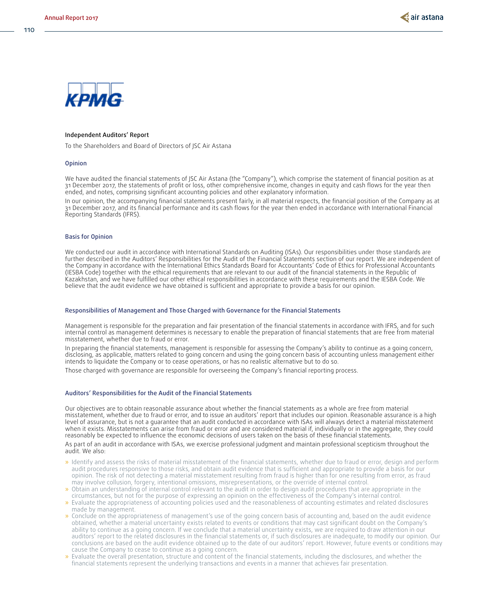

## Independent Auditors' Report

To the Shareholders and Board of Directors of JSC Air Astana

## Opinion

We have audited the financial statements of JSC Air Astana (the "Company"), which comprise the statement of financial position as at 31 December 2017, the statements of profit or loss, other comprehensive income, changes in equity and cash flows for the year then ended, and notes, comprising significant accounting policies and other explanatory information.

In our opinion, the accompanying financial statements present fairly, in all material respects, the financial position of the Company as at 31 December 2017, and its financial performance and its cash flows for the year then ended in accordance with International Financial Reporting Standards (IFRS).

## Basis for Opinion

We conducted our audit in accordance with International Standards on Auditing (ISAs). Our responsibilities under those standards are further described in the Auditors' Responsibilities for the Audit of the Financial Statements section of our report. We are independent of the Company in accordance with the International Ethics Standards Board for Accountants' Code of Ethics for Professional Accountants (IESBA Code) together with the ethical requirements that are relevant to our audit of the financial statements in the Republic of Kazakhstan, and we have fulfilled our other ethical responsibilities in accordance with these requirements and the IESBA Code. We believe that the audit evidence we have obtained is sufficient and appropriate to provide a basis for our opinion.

## Responsibilities of Management and Those Charged with Governance for the Financial Statements

Management is responsible for the preparation and fair presentation of the financial statements in accordance with IFRS, and for such internal control as management determines is necessary to enable the preparation of financial statements that are free from material misstatement, whether due to fraud or error.

In preparing the financial statements, management is responsible for assessing the Company's ability to continue as a going concern, disclosing, as applicable, matters related to going concern and using the going concern basis of accounting unless management either intends to liquidate the Company or to cease operations, or has no realistic alternative but to do so.

Those charged with governance are responsible for overseeing the Company's financial reporting process.

## Auditors' Responsibilities for the Audit of the Financial Statements

Our objectives are to obtain reasonable assurance about whether the financial statements as a whole are free from material misstatement, whether due to fraud or error, and to issue an auditors' report that includes our opinion. Reasonable assurance is a high level of assurance, but is not a guarantee that an audit conducted in accordance with ISAs will always detect a material misstatement when it exists. Misstatements can arise from fraud or error and are considered material if, individually or in the aggregate, they could reasonably be expected to influence the economic decisions of users taken on the basis of these financial statements.

#### As part of an audit in accordance with ISAs, we exercise professional judgment and maintain professional scepticism throughout the audit. We also:

- » Identify and assess the risks of material misstatement of the financial statements, whether due to fraud or error, design and perform audit procedures responsive to those risks, and obtain audit evidence that is sufficient and appropriate to provide a basis for our opinion. The risk of not detecting a material misstatement resulting from fraud is higher than for one resulting from error, as fraud may involve collusion, forgery, intentional omissions, misrepresentations, or the override of internal control.
- » Obtain an understanding of internal control relevant to the audit in order to design audit procedures that are appropriate in the circumstances, but not for the purpose of expressing an opinion on the effectiveness of the Company's internal control.
- » Evaluate the appropriateness of accounting policies used and the reasonableness of accounting estimates and related disclosures made by management.
- » Conclude on the appropriateness of management's use of the going concern basis of accounting and, based on the audit evidence obtained, whether a material uncertainty exists related to events or conditions that may cast significant doubt on the Company's ability to continue as a going concern. If we conclude that a material uncertainty exists, we are required to draw attention in our auditors' report to the related disclosures in the financial statements or, if such disclosures are inadequate, to modify our opinion. Our conclusions are based on the audit evidence obtained up to the date of our auditors' report. However, future events or conditions may cause the Company to cease to continue as a going concern.
- » Evaluate the overall presentation, structure and content of the financial statements, including the disclosures, and whether the financial statements represent the underlying transactions and events in a manner that achieves fair presentation.